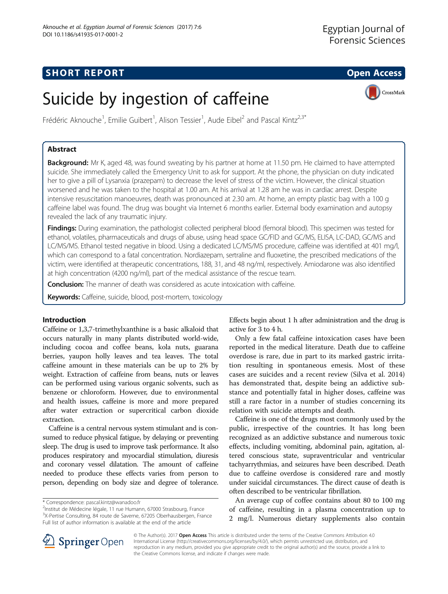## **SHORT REPORT SHORT CONSUMING THE OPEN ACCESS**

CrossMark

# Suicide by ingestion of caffeine

Frédéric Aknouche<sup>1</sup>, Emilie Guibert<sup>1</sup>, Alison Tessier<sup>1</sup>, Aude Eibel<sup>2</sup> and Pascal Kintz<sup>2,3\*</sup>

## Abstract

Background: Mr K, aged 48, was found sweating by his partner at home at 11.50 pm. He claimed to have attempted suicide. She immediately called the Emergency Unit to ask for support. At the phone, the physician on duty indicated her to give a pill of Lysanxia (prazepam) to decrease the level of stress of the victim. However, the clinical situation worsened and he was taken to the hospital at 1.00 am. At his arrival at 1.28 am he was in cardiac arrest. Despite intensive resuscitation manoeuvres, death was pronounced at 2.30 am. At home, an empty plastic bag with a 100 g caffeine label was found. The drug was bought via Internet 6 months earlier. External body examination and autopsy revealed the lack of any traumatic injury.

Findings: During examination, the pathologist collected peripheral blood (femoral blood). This specimen was tested for ethanol, volatiles, pharmaceuticals and drugs of abuse, using head space GC/FID and GC/MS, ELISA, LC-DAD, GC/MS and LC/MS/MS. Ethanol tested negative in blood. Using a dedicated LC/MS/MS procedure, caffeine was identified at 401 mg/l, which can correspond to a fatal concentration. Nordiazepam, sertraline and fluoxetine, the prescribed medications of the victim, were identified at therapeutic concentrations, 188, 31, and 48 ng/ml, respectively. Amiodarone was also identified at high concentration (4200 ng/ml), part of the medical assistance of the rescue team.

**Conclusion:** The manner of death was considered as acute intoxication with caffeine.

Keywords: Caffeine, suicide, blood, post-mortem, toxicology

## Introduction

Caffeine or 1,3,7-trimethylxanthine is a basic alkaloid that occurs naturally in many plants distributed world-wide, including cocoa and coffee beans, kola nuts, guarana berries, yaupon holly leaves and tea leaves. The total caffeine amount in these materials can be up to 2% by weight. Extraction of caffeine from beans, nuts or leaves can be performed using various organic solvents, such as benzene or chloroform. However, due to environmental and health issues, caffeine is more and more prepared after water extraction or supercritical carbon dioxide extraction.

Caffeine is a central nervous system stimulant and is consumed to reduce physical fatigue, by delaying or preventing sleep. The drug is used to improve task performance. It also produces respiratory and myocardial stimulation, diuresis and coronary vessel dilatation. The amount of caffeine needed to produce these effects varies from person to person, depending on body size and degree of tolerance.

<sup>2</sup>Institut de Médecine légale, 11 rue Humann, 67000 Strasbourg, France <sup>3</sup>X-Pertise Consulting, 84 route de Saverne, 67205 Oberhausbergen, France Full list of author information is available at the end of the article

Effects begin about 1 h after administration and the drug is active for 3 to 4 h.

Only a few fatal caffeine intoxication cases have been reported in the medical literature. Death due to caffeine overdose is rare, due in part to its marked gastric irritation resulting in spontaneous emesis. Most of these cases are suicides and a recent review (Silva et al. [2014](#page-2-0)) has demonstrated that, despite being an addictive substance and potentially fatal in higher doses, caffeine was still a rare factor in a number of studies concerning its relation with suicide attempts and death.

Caffeine is one of the drugs most commonly used by the public, irrespective of the countries. It has long been recognized as an addictive substance and numerous toxic effects, including vomiting, abdominal pain, agitation, altered conscious state, supraventricular and ventricular tachyarrythmias, and seizures have been described. Death due to caffeine overdose is considered rare and mostly under suicidal circumstances. The direct cause of death is often described to be ventricular fibrillation.

An average cup of coffee contains about 80 to 100 mg of caffeine, resulting in a plasma concentration up to 2 mg/l. Numerous dietary supplements also contain



© The Author(s). 2017 **Open Access** This article is distributed under the terms of the Creative Commons Attribution 4.0 International License ([http://creativecommons.org/licenses/by/4.0/\)](http://creativecommons.org/licenses/by/4.0/), which permits unrestricted use, distribution, and reproduction in any medium, provided you give appropriate credit to the original author(s) and the source, provide a link to the Creative Commons license, and indicate if changes were made.

<sup>\*</sup> Correspondence: [pascal.kintz@wanadoo.fr](mailto:pascal.kintz@wanadoo.fr) <sup>2</sup>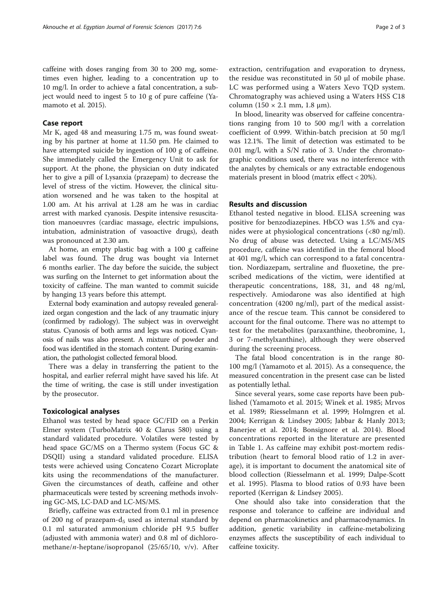caffeine with doses ranging from 30 to 200 mg, sometimes even higher, leading to a concentration up to 10 mg/l. In order to achieve a fatal concentration, a subject would need to ingest 5 to 10 g of pure caffeine (Yamamoto et al. [2015\)](#page-2-0).

## Case report

Mr K, aged 48 and measuring 1.75 m, was found sweating by his partner at home at 11.50 pm. He claimed to have attempted suicide by ingestion of 100 g of caffeine. She immediately called the Emergency Unit to ask for support. At the phone, the physician on duty indicated her to give a pill of Lysanxia (prazepam) to decrease the level of stress of the victim. However, the clinical situation worsened and he was taken to the hospital at 1.00 am. At his arrival at 1.28 am he was in cardiac arrest with marked cyanosis. Despite intensive resuscitation manoeuvres (cardiac massage, electric impulsions, intubation, administration of vasoactive drugs), death was pronounced at 2.30 am.

At home, an empty plastic bag with a 100 g caffeine label was found. The drug was bought via Internet 6 months earlier. The day before the suicide, the subject was surfing on the Internet to get information about the toxicity of caffeine. The man wanted to commit suicide by hanging 13 years before this attempt.

External body examination and autopsy revealed generalized organ congestion and the lack of any traumatic injury (confirmed by radiology). The subject was in overweight status. Cyanosis of both arms and legs was noticed. Cyanosis of nails was also present. A mixture of powder and food was identified in the stomach content. During examination, the pathologist collected femoral blood.

There was a delay in transferring the patient to the hospital, and earlier referral might have saved his life. At the time of writing, the case is still under investigation by the prosecutor.

#### Toxicological analyses

Ethanol was tested by head space GC/FID on a Perkin Elmer system (TurboMatrix 40 & Clarus 580) using a standard validated procedure. Volatiles were tested by head space GC/MS on a Thermo system (Focus GC & DSQII) using a standard validated procedure. ELISA tests were achieved using Concateno Cozart Microplate kits using the recommendations of the manufacturer. Given the circumstances of death, caffeine and other pharmaceuticals were tested by screening methods involving GC-MS, LC-DAD and LC-MS/MS.

Briefly, caffeine was extracted from 0.1 ml in presence of 200 ng of prazepam-d<sub>5</sub> used as internal standard by 0.1 ml saturated ammonium chloride pH 9.5 buffer (adjusted with ammonia water) and 0.8 ml of dichloromethane/*n*-heptane/isopropanol  $(25/65/10, v/v)$ . After extraction, centrifugation and evaporation to dryness, the residue was reconstituted in 50 μl of mobile phase. LC was performed using a Waters Xevo TQD system. Chromatography was achieved using a Waters HSS C18 column  $(150 \times 2.1 \text{ mm}, 1.8 \text{ }\mu\text{m})$ .

In blood, linearity was observed for caffeine concentrations ranging from 10 to 500 mg/l with a correlation coefficient of 0.999. Within-batch precision at 50 mg/l was 12.1%. The limit of detection was estimated to be 0.01 mg/l, with a S/N ratio of 3. Under the chromatographic conditions used, there was no interference with the analytes by chemicals or any extractable endogenous materials present in blood (matrix effect < 20%).

## Results and discussion

Ethanol tested negative in blood. ELISA screening was positive for benzodiazepines. HbCO was 1.5% and cyanides were at physiological concentrations (<80 ng/ml). No drug of abuse was detected. Using a LC/MS/MS procedure, caffeine was identified in the femoral blood at 401 mg/l, which can correspond to a fatal concentration. Nordiazepam, sertraline and fluoxetine, the prescribed medications of the victim, were identified at therapeutic concentrations, 188, 31, and 48 ng/ml, respectively. Amiodarone was also identified at high concentration (4200 ng/ml), part of the medical assistance of the rescue team. This cannot be considered to account for the final outcome. There was no attempt to test for the metabolites (paraxanthine, theobromine, 1, 3 or 7-methylxanthine), although they were observed during the screening process.

The fatal blood concentration is in the range 80- 100 mg/l (Yamamoto et al. [2015](#page-2-0)). As a consequence, the measured concentration in the present case can be listed as potentially lethal.

Since several years, some case reports have been published (Yamamoto et al. [2015;](#page-2-0) Winek et al. [1985](#page-2-0); Mrvos et al. [1989;](#page-2-0) Riesselmann et al. [1999](#page-2-0); Holmgren et al. [2004;](#page-2-0) Kerrigan & Lindsey [2005](#page-2-0); Jabbar & Hanly [2013](#page-2-0); Banerjee et al. [2014;](#page-2-0) Bonsignore et al. [2014](#page-2-0)). Blood concentrations reported in the literature are presented in Table [1.](#page-2-0) As caffeine may exhibit post-mortem redistribution (heart to femoral blood ratio of 1.2 in average), it is important to document the anatomical site of blood collection (Riesselmann et al. [1999](#page-2-0); Dalpe-Scott et al. [1995](#page-2-0)). Plasma to blood ratios of 0.93 have been reported (Kerrigan & Lindsey [2005\)](#page-2-0).

One should also take into consideration that the response and tolerance to caffeine are individual and depend on pharmacokinetics and pharmacodynamics. In addition, genetic variability in caffeine-metabolizing enzymes affects the susceptibility of each individual to caffeine toxicity.